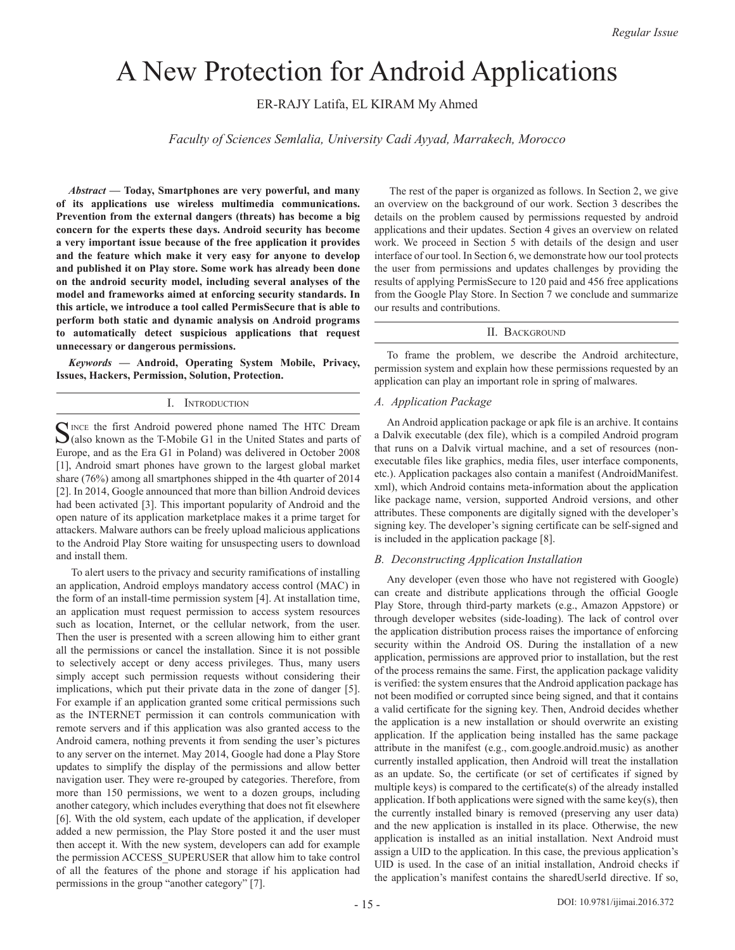# A New Protection for Android Applications

ER-RAJY Latifa, EL KIRAM My Ahmed

*Faculty of Sciences Semlalia, University Cadi Ayyad, Marrakech, Morocco*

*Abstract —* **Today, Smartphones are very powerful, and many of its applications use wireless multimedia communications. Prevention from the external dangers (threats) has become a big concern for the experts these days. Android security has become a very important issue because of the free application it provides and the feature which make it very easy for anyone to develop and published it on Play store. Some work has already been done on the android security model, including several analyses of the model and frameworks aimed at enforcing security standards. In this article, we introduce a tool called PermisSecure that is able to perform both static and dynamic analysis on Android programs to automatically detect suspicious applications that request unnecessary or dangerous permissions.**

*Keywords* **— Android, Operating System Mobile, Privacy, Issues, Hackers, Permission, Solution, Protection.**

# I. Introduction

Since the first Android powered phone named The HTC Dream  $\mathcal{O}$ (also known as the T-Mobile G1 in the United States and parts of Europe, and as the Era G1 in Poland) was delivered in October 2008 [1], Android smart phones have grown to the largest global market share (76%) among all smartphones shipped in the 4th quarter of 2014 [2]. In 2014, Google announced that more than billion Android devices had been activated [3]. This important popularity of Android and the open nature of its application marketplace makes it a prime target for attackers. Malware authors can be freely upload malicious applications to the Android Play Store waiting for unsuspecting users to download and install them.

 To alert users to the privacy and security ramifications of installing an application, Android employs mandatory access control (MAC) in the form of an install-time permission system [4]. At installation time, an application must request permission to access system resources such as location, Internet, or the cellular network, from the user. Then the user is presented with a screen allowing him to either grant all the permissions or cancel the installation. Since it is not possible to selectively accept or deny access privileges. Thus, many users simply accept such permission requests without considering their implications, which put their private data in the zone of danger [5]. For example if an application granted some critical permissions such as the INTERNET permission it can controls communication with remote servers and if this application was also granted access to the Android camera, nothing prevents it from sending the user's pictures to any server on the internet. May 2014, Google had done a Play Store updates to simplify the display of the permissions and allow better navigation user. They were re-grouped by categories. Therefore, from more than 150 permissions, we went to a dozen groups, including another category, which includes everything that does not fit elsewhere [6]. With the old system, each update of the application, if developer added a new permission, the Play Store posted it and the user must then accept it. With the new system, developers can add for example the permission ACCESS\_SUPERUSER that allow him to take control of all the features of the phone and storage if his application had permissions in the group "another category" [7].

 The rest of the paper is organized as follows. In Section 2, we give an overview on the background of our work. Section 3 describes the details on the problem caused by permissions requested by android applications and their updates. Section 4 gives an overview on related work. We proceed in Section 5 with details of the design and user interface of our tool. In Section 6, we demonstrate how our tool protects the user from permissions and updates challenges by providing the results of applying PermisSecure to 120 paid and 456 free applications from the Google Play Store. In Section 7 we conclude and summarize our results and contributions.

# II. BACKGROUND

To frame the problem, we describe the Android architecture, permission system and explain how these permissions requested by an application can play an important role in spring of malwares.

# *A. Application Package*

An Android application package or apk file is an archive. It contains a Dalvik executable (dex file), which is a compiled Android program that runs on a Dalvik virtual machine, and a set of resources (nonexecutable files like graphics, media files, user interface components, etc.). Application packages also contain a manifest (AndroidManifest. xml), which Android contains meta-information about the application like package name, version, supported Android versions, and other attributes. These components are digitally signed with the developer's signing key. The developer's signing certificate can be self-signed and is included in the application package [8].

# *B. Deconstructing Application Installation*

Any developer (even those who have not registered with Google) can create and distribute applications through the official Google Play Store, through third-party markets (e.g., Amazon Appstore) or through developer websites (side-loading). The lack of control over the application distribution process raises the importance of enforcing security within the Android OS. During the installation of a new application, permissions are approved prior to installation, but the rest of the process remains the same. First, the application package validity is verified: the system ensures that the Android application package has not been modified or corrupted since being signed, and that it contains a valid certificate for the signing key. Then, Android decides whether the application is a new installation or should overwrite an existing application. If the application being installed has the same package attribute in the manifest (e.g., com.google.android.music) as another currently installed application, then Android will treat the installation as an update. So, the certificate (or set of certificates if signed by multiple keys) is compared to the certificate(s) of the already installed application. If both applications were signed with the same key(s), then the currently installed binary is removed (preserving any user data) and the new application is installed in its place. Otherwise, the new application is installed as an initial installation. Next Android must assign a UID to the application. In this case, the previous application's UID is used. In the case of an initial installation, Android checks if the application's manifest contains the sharedUserId directive. If so,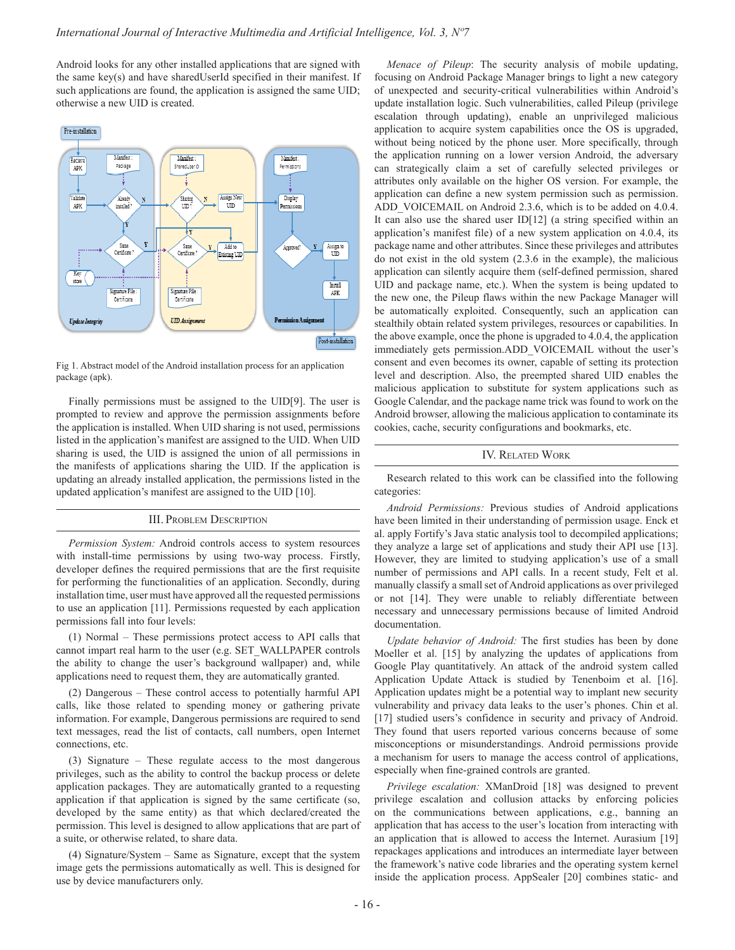Android looks for any other installed applications that are signed with the same key(s) and have sharedUserId specified in their manifest. If such applications are found, the application is assigned the same UID; otherwise a new UID is created.



Fig 1. Abstract model of the Android installation process for an application package (apk).

Finally permissions must be assigned to the UID[9]. The user is prompted to review and approve the permission assignments before the application is installed. When UID sharing is not used, permissions listed in the application's manifest are assigned to the UID. When UID sharing is used, the UID is assigned the union of all permissions in the manifests of applications sharing the UID. If the application is updating an already installed application, the permissions listed in the updated application's manifest are assigned to the UID [10].

### III. Problem Description

*Permission System:* Android controls access to system resources with install-time permissions by using two-way process. Firstly, developer defines the required permissions that are the first requisite for performing the functionalities of an application. Secondly, during installation time, user must have approved all the requested permissions to use an application [11]. Permissions requested by each application permissions fall into four levels:

(1) Normal – These permissions protect access to API calls that cannot impart real harm to the user (e.g. SET\_WALLPAPER controls the ability to change the user's background wallpaper) and, while applications need to request them, they are automatically granted.

(2) Dangerous – These control access to potentially harmful API calls, like those related to spending money or gathering private information. For example, Dangerous permissions are required to send text messages, read the list of contacts, call numbers, open Internet connections, etc.

(3) Signature – These regulate access to the most dangerous privileges, such as the ability to control the backup process or delete application packages. They are automatically granted to a requesting application if that application is signed by the same certificate (so, developed by the same entity) as that which declared/created the permission. This level is designed to allow applications that are part of a suite, or otherwise related, to share data.

(4) Signature/System – Same as Signature, except that the system image gets the permissions automatically as well. This is designed for use by device manufacturers only.

*Menace of Pileup*: The security analysis of mobile updating, focusing on Android Package Manager brings to light a new category of unexpected and security-critical vulnerabilities within Android's update installation logic. Such vulnerabilities, called Pileup (privilege escalation through updating), enable an unprivileged malicious application to acquire system capabilities once the OS is upgraded, without being noticed by the phone user. More specifically, through the application running on a lower version Android, the adversary can strategically claim a set of carefully selected privileges or attributes only available on the higher OS version. For example, the application can define a new system permission such as permission. ADD VOICEMAIL on Android 2.3.6, which is to be added on 4.0.4. It can also use the shared user ID[12] (a string specified within an application's manifest file) of a new system application on 4.0.4, its package name and other attributes. Since these privileges and attributes do not exist in the old system (2.3.6 in the example), the malicious application can silently acquire them (self-defined permission, shared UID and package name, etc.). When the system is being updated to the new one, the Pileup flaws within the new Package Manager will be automatically exploited. Consequently, such an application can stealthily obtain related system privileges, resources or capabilities. In the above example, once the phone is upgraded to 4.0.4, the application immediately gets permission.ADD\_VOICEMAIL without the user's consent and even becomes its owner, capable of setting its protection level and description. Also, the preempted shared UID enables the malicious application to substitute for system applications such as Google Calendar, and the package name trick was found to work on the Android browser, allowing the malicious application to contaminate its cookies, cache, security configurations and bookmarks, etc.

## IV. Related Work

Research related to this work can be classified into the following categories:

*Android Permissions:* Previous studies of Android applications have been limited in their understanding of permission usage. Enck et al. apply Fortify's Java static analysis tool to decompiled applications; they analyze a large set of applications and study their API use [13]. However, they are limited to studying application's use of a small number of permissions and API calls. In a recent study, Felt et al. manually classify a small set of Android applications as over privileged or not [14]. They were unable to reliably differentiate between necessary and unnecessary permissions because of limited Android documentation.

*Update behavior of Android:* The first studies has been by done Moeller et al. [15] by analyzing the updates of applications from Google Play quantitatively. An attack of the android system called Application Update Attack is studied by Tenenboim et al. [16]. Application updates might be a potential way to implant new security vulnerability and privacy data leaks to the user's phones. Chin et al. [17] studied users's confidence in security and privacy of Android. They found that users reported various concerns because of some misconceptions or misunderstandings. Android permissions provide a mechanism for users to manage the access control of applications, especially when fine-grained controls are granted.

*Privilege escalation:* XManDroid [18] was designed to prevent privilege escalation and collusion attacks by enforcing policies on the communications between applications, e.g., banning an application that has access to the user's location from interacting with an application that is allowed to access the Internet. Aurasium [19] repackages applications and introduces an intermediate layer between the framework's native code libraries and the operating system kernel inside the application process. AppSealer [20] combines static- and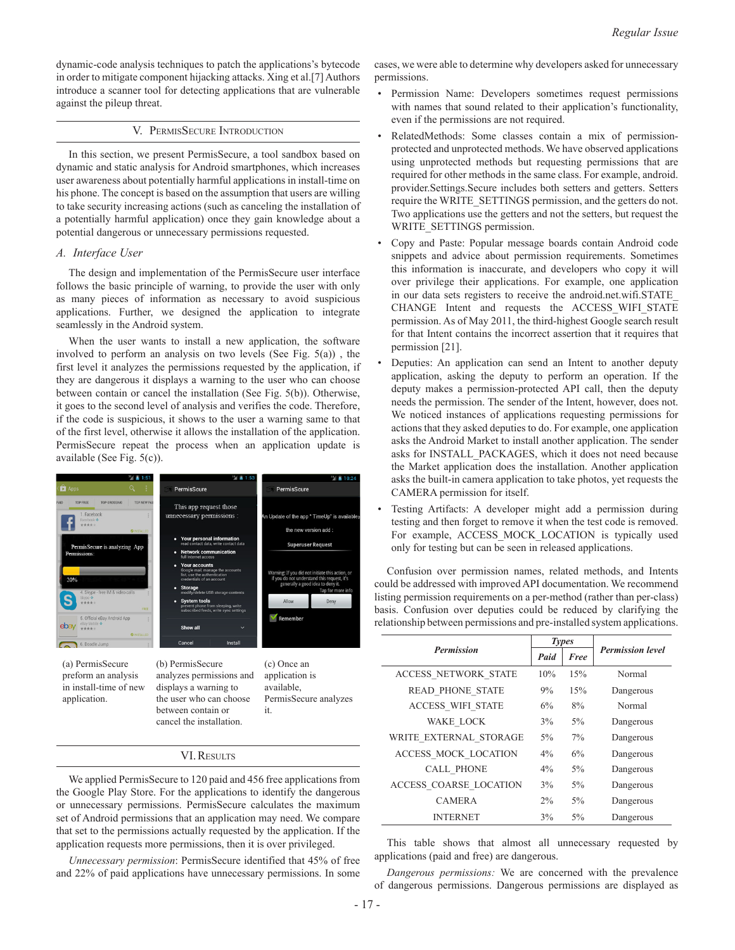dynamic-code analysis techniques to patch the applications's bytecode in order to mitigate component hijacking attacks. Xing et al.[7] Authors introduce a scanner tool for detecting applications that are vulnerable against the pileup threat.

### V. PermisSecure Introduction

In this section, we present PermisSecure, a tool sandbox based on dynamic and static analysis for Android smartphones, which increases user awareness about potentially harmful applications in install-time on his phone. The concept is based on the assumption that users are willing to take security increasing actions (such as canceling the installation of a potentially harmful application) once they gain knowledge about a potential dangerous or unnecessary permissions requested.

#### *A. Interface User*

The design and implementation of the PermisSecure user interface follows the basic principle of warning, to provide the user with only as many pieces of information as necessary to avoid suspicious applications. Further, we designed the application to integrate seamlessly in the Android system.

When the user wants to install a new application, the software involved to perform an analysis on two levels (See Fig. 5(a)) , the first level it analyzes the permissions requested by the application, if they are dangerous it displays a warning to the user who can choose between contain or cancel the installation (See Fig. 5(b)). Otherwise, it goes to the second level of analysis and verifies the code. Therefore, if the code is suspicious, it shows to the user a warning same to that of the first level, otherwise it allows the installation of the application. PermisSecure repeat the process when an application update is available (See Fig. 5(c)).



(a) PermisSecure preform an analysis in install-time of new application.

(b) PermisSecure analyzes permissions and displays a warning to the user who can choose between contain or cancel the installation.

(c) Once an application is available, PermisSecure analyzes it.

#### VI.Results

We applied PermisSecure to 120 paid and 456 free applications from the Google Play Store. For the applications to identify the dangerous or unnecessary permissions. PermisSecure calculates the maximum set of Android permissions that an application may need. We compare that set to the permissions actually requested by the application. If the application requests more permissions, then it is over privileged.

*Unnecessary permission*: PermisSecure identified that 45% of free and 22% of paid applications have unnecessary permissions. In some cases, we were able to determine why developers asked for unnecessary permissions.

- Permission Name: Developers sometimes request permissions with names that sound related to their application's functionality, even if the permissions are not required.
- RelatedMethods: Some classes contain a mix of permissionprotected and unprotected methods. We have observed applications using unprotected methods but requesting permissions that are required for other methods in the same class. For example, android. provider.Settings.Secure includes both setters and getters. Setters require the WRITE\_SETTINGS permission, and the getters do not. Two applications use the getters and not the setters, but request the WRITE\_SETTINGS permission.
- Copy and Paste: Popular message boards contain Android code snippets and advice about permission requirements. Sometimes this information is inaccurate, and developers who copy it will over privilege their applications. For example, one application in our data sets registers to receive the android.net.wifi.STATE\_ CHANGE Intent and requests the ACCESS\_WIFI\_STATE permission. As of May 2011, the third-highest Google search result for that Intent contains the incorrect assertion that it requires that permission [21].
- Deputies: An application can send an Intent to another deputy application, asking the deputy to perform an operation. If the deputy makes a permission-protected API call, then the deputy needs the permission. The sender of the Intent, however, does not. We noticed instances of applications requesting permissions for actions that they asked deputies to do. For example, one application asks the Android Market to install another application. The sender asks for INSTALL\_PACKAGES, which it does not need because the Market application does the installation. Another application asks the built-in camera application to take photos, yet requests the CAMERA permission for itself.
- Testing Artifacts: A developer might add a permission during testing and then forget to remove it when the test code is removed. For example, ACCESS MOCK LOCATION is typically used only for testing but can be seen in released applications.

Confusion over permission names, related methods, and Intents could be addressed with improved API documentation. We recommend listing permission requirements on a per-method (rather than per-class) basis. Confusion over deputies could be reduced by clarifying the relationship between permissions and pre-installed system applications.

| <b>Permission</b>             | <b>Types</b> |       |                         |
|-------------------------------|--------------|-------|-------------------------|
|                               | Paid         | Free  | <b>Permission level</b> |
| <b>ACCESS NETWORK STATE</b>   | 10%          | 15%   | Normal                  |
| <b>READ PHONE STATE</b>       | 9%           | 15%   | Dangerous               |
| <b>ACCESS WIFI STATE</b>      | 6%           | 8%    | Normal                  |
| WAKE LOCK                     | 3%           | $5\%$ | Dangerous               |
| WRITE EXTERNAL STORAGE        | $5\%$        | 7%    | Dangerous               |
| ACCESS MOCK LOCATION          | $4\%$        | 6%    | Dangerous               |
| <b>CALL PHONE</b>             | $4\%$        | $5\%$ | Dangerous               |
| <b>ACCESS COARSE LOCATION</b> | 3%           | $5\%$ | Dangerous               |
| <b>CAMERA</b>                 | 2%           | $5\%$ | Dangerous               |
| <b>INTERNET</b>               | 3%           | 5%    | Dangerous               |

This table shows that almost all unnecessary requested by applications (paid and free) are dangerous.

*Dangerous permissions:* We are concerned with the prevalence of dangerous permissions. Dangerous permissions are displayed as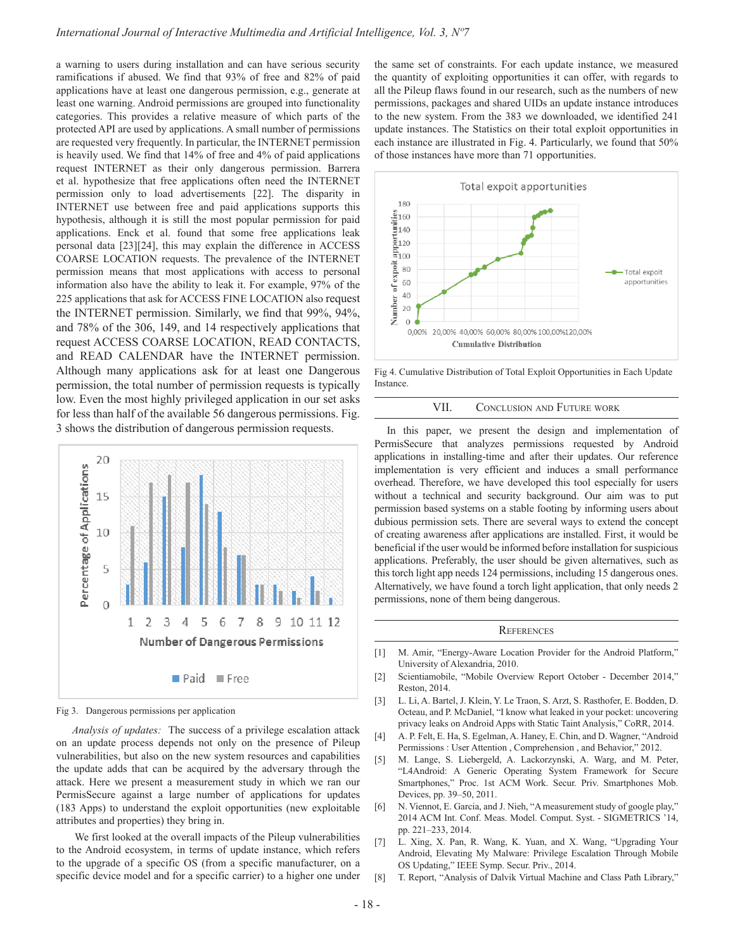a warning to users during installation and can have serious security ramifications if abused. We find that 93% of free and 82% of paid applications have at least one dangerous permission, e.g., generate at least one warning. Android permissions are grouped into functionality categories. This provides a relative measure of which parts of the protected API are used by applications. A small number of permissions are requested very frequently. In particular, the INTERNET permission is heavily used. We find that 14% of free and 4% of paid applications request INTERNET as their only dangerous permission. Barrera et al. hypothesize that free applications often need the INTERNET permission only to load advertisements [22]. The disparity in INTERNET use between free and paid applications supports this hypothesis, although it is still the most popular permission for paid applications. Enck et al. found that some free applications leak personal data [23][24], this may explain the difference in ACCESS COARSE LOCATION requests. The prevalence of the INTERNET permission means that most applications with access to personal information also have the ability to leak it. For example, 97% of the 225 applications that ask for ACCESS FINE LOCATION also request the INTERNET permission. Similarly, we find that 99%, 94%, and 78% of the 306, 149, and 14 respectively applications that request ACCESS COARSE LOCATION, READ CONTACTS, and READ CALENDAR have the INTERNET permission. Although many applications ask for at least one Dangerous permission, the total number of permission requests is typically low. Even the most highly privileged application in our set asks for less than half of the available 56 dangerous permissions. Fig. 3 shows the distribution of dangerous permission requests.



Fig 3. Dangerous permissions per application

*Analysis of updates:* The success of a privilege escalation attack on an update process depends not only on the presence of Pileup vulnerabilities, but also on the new system resources and capabilities the update adds that can be acquired by the adversary through the attack. Here we present a measurement study in which we ran our PermisSecure against a large number of applications for updates (183 Apps) to understand the exploit opportunities (new exploitable attributes and properties) they bring in.

 We first looked at the overall impacts of the Pileup vulnerabilities to the Android ecosystem, in terms of update instance, which refers to the upgrade of a specific OS (from a specific manufacturer, on a specific device model and for a specific carrier) to a higher one under the same set of constraints. For each update instance, we measured the quantity of exploiting opportunities it can offer, with regards to all the Pileup flaws found in our research, such as the numbers of new permissions, packages and shared UIDs an update instance introduces to the new system. From the 383 we downloaded, we identified 241 update instances. The Statistics on their total exploit opportunities in each instance are illustrated in Fig. 4. Particularly, we found that 50% of those instances have more than 71 opportunities.



Fig 4. Cumulative Distribution of Total Exploit Opportunities in Each Update **Instance** 

#### VII. Conclusion and Future work

In this paper, we present the design and implementation of PermisSecure that analyzes permissions requested by Android applications in installing-time and after their updates. Our reference implementation is very efficient and induces a small performance overhead. Therefore, we have developed this tool especially for users without a technical and security background. Our aim was to put permission based systems on a stable footing by informing users about dubious permission sets. There are several ways to extend the concept of creating awareness after applications are installed. First, it would be beneficial if the user would be informed before installation for suspicious applications. Preferably, the user should be given alternatives, such as this torch light app needs 124 permissions, including 15 dangerous ones. Alternatively, we have found a torch light application, that only needs 2 permissions, none of them being dangerous.

#### **REFERENCES**

- [1] M. Amir, "Energy-Aware Location Provider for the Android Platform," University of Alexandria, 2010.
- [2] Scientiamobile, "Mobile Overview Report October December 2014," Reston, 2014.
- [3] L. Li, A. Bartel, J. Klein, Y. Le Traon, S. Arzt, S. Rasthofer, E. Bodden, D. Octeau, and P. McDaniel, "I know what leaked in your pocket: uncovering privacy leaks on Android Apps with Static Taint Analysis," CoRR, 2014.
- [4] A. P. Felt, E. Ha, S. Egelman, A. Haney, E. Chin, and D. Wagner, "Android Permissions : User Attention , Comprehension , and Behavior," 2012.
- [5] M. Lange, S. Liebergeld, A. Lackorzynski, A. Warg, and M. Peter, "L4Android: A Generic Operating System Framework for Secure Smartphones," Proc. 1st ACM Work. Secur. Priv. Smartphones Mob. Devices, pp. 39–50, 2011.
- [6] N. Viennot, E. Garcia, and J. Nieh, "A measurement study of google play," 2014 ACM Int. Conf. Meas. Model. Comput. Syst. - SIGMETRICS '14, pp. 221–233, 2014.
- [7] L. Xing, X. Pan, R. Wang, K. Yuan, and X. Wang, "Upgrading Your Android, Elevating My Malware: Privilege Escalation Through Mobile OS Updating," IEEE Symp. Secur. Priv., 2014.
- [8] T. Report, "Analysis of Dalvik Virtual Machine and Class Path Library,"